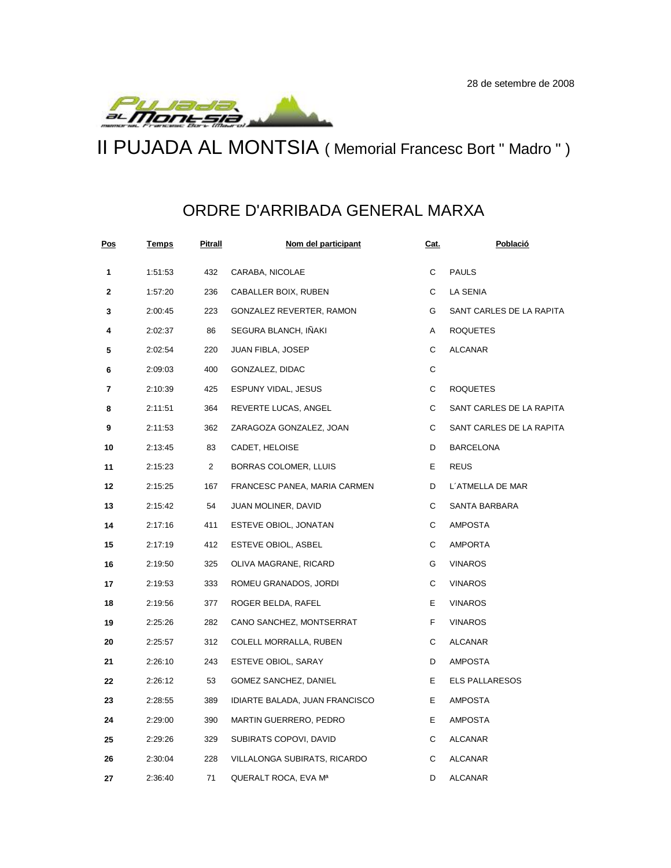

II PUJADA AL MONTSIA ( Memorial Francesc Bort " Madro " )

## ORDRE D'ARRIBADA GENERAL MARXA

| <u>Pos</u> | <u>Temps</u> | Pitrall        | Nom del participant            | <u>Cat.</u> | Població                 |
|------------|--------------|----------------|--------------------------------|-------------|--------------------------|
| 1          | 1:51:53      | 432            | CARABA, NICOLAE                | С           | <b>PAULS</b>             |
| 2          | 1:57:20      | 236            | CABALLER BOIX, RUBEN           | С           | LA SENIA                 |
| 3          | 2:00:45      | 223            | GONZALEZ REVERTER, RAMON       | G           | SANT CARLES DE LA RAPITA |
| 4          | 2:02:37      | 86             | SEGURA BLANCH, IÑAKI           | Α           | <b>ROQUETES</b>          |
| 5          | 2:02:54      | 220            | JUAN FIBLA, JOSEP              | С           | ALCANAR                  |
| 6          | 2:09:03      | 400            | GONZALEZ, DIDAC                | С           |                          |
| 7          | 2:10:39      | 425            | ESPUNY VIDAL, JESUS            | С           | <b>ROQUETES</b>          |
| 8          | 2:11:51      | 364            | REVERTE LUCAS, ANGEL           | С           | SANT CARLES DE LA RAPITA |
| 9          | 2:11:53      | 362            | ZARAGOZA GONZALEZ, JOAN        | C           | SANT CARLES DE LA RAPITA |
| 10         | 2:13:45      | 83             | CADET, HELOISE                 | D           | <b>BARCELONA</b>         |
| 11         | 2:15:23      | $\overline{2}$ | BORRAS COLOMER, LLUIS          | Е           | <b>REUS</b>              |
| 12         | 2:15:25      | 167            | FRANCESC PANEA, MARIA CARMEN   | D           | L'ATMELLA DE MAR         |
| 13         | 2:15:42      | 54             | JUAN MOLINER, DAVID            | С           | SANTA BARBARA            |
| 14         | 2:17:16      | 411            | ESTEVE OBIOL, JONATAN          | С           | AMPOSTA                  |
| 15         | 2:17:19      | 412            | ESTEVE OBIOL, ASBEL            | С           | AMPORTA                  |
| 16         | 2:19:50      | 325            | OLIVA MAGRANE, RICARD          | G           | <b>VINAROS</b>           |
| 17         | 2:19:53      | 333            | ROMEU GRANADOS, JORDI          | С           | VINAROS                  |
| 18         | 2:19:56      | 377            | ROGER BELDA, RAFEL             | Е           | VINAROS                  |
| 19         | 2:25:26      | 282            | CANO SANCHEZ, MONTSERRAT       | F           | <b>VINAROS</b>           |
| 20         | 2:25:57      | 312            | COLELL MORRALLA, RUBEN         | С           | ALCANAR                  |
| 21         | 2:26:10      | 243            | ESTEVE OBIOL, SARAY            | D           | AMPOSTA                  |
| 22         | 2:26:12      | 53             | GOMEZ SANCHEZ, DANIEL          | Е           | <b>ELS PALLARESOS</b>    |
| 23         | 2:28:55      | 389            | IDIARTE BALADA, JUAN FRANCISCO | Е           | AMPOSTA                  |
| 24         | 2:29:00      | 390            | MARTIN GUERRERO, PEDRO         | Е           | AMPOSTA                  |
| 25         | 2:29:26      | 329            | SUBIRATS COPOVI, DAVID         | С           | ALCANAR                  |
| 26         | 2:30:04      | 228            | VILLALONGA SUBIRATS, RICARDO   | С           | ALCANAR                  |
| 27         | 2:36:40      | 71             | QUERALT ROCA, EVA Mª           | D           | <b>ALCANAR</b>           |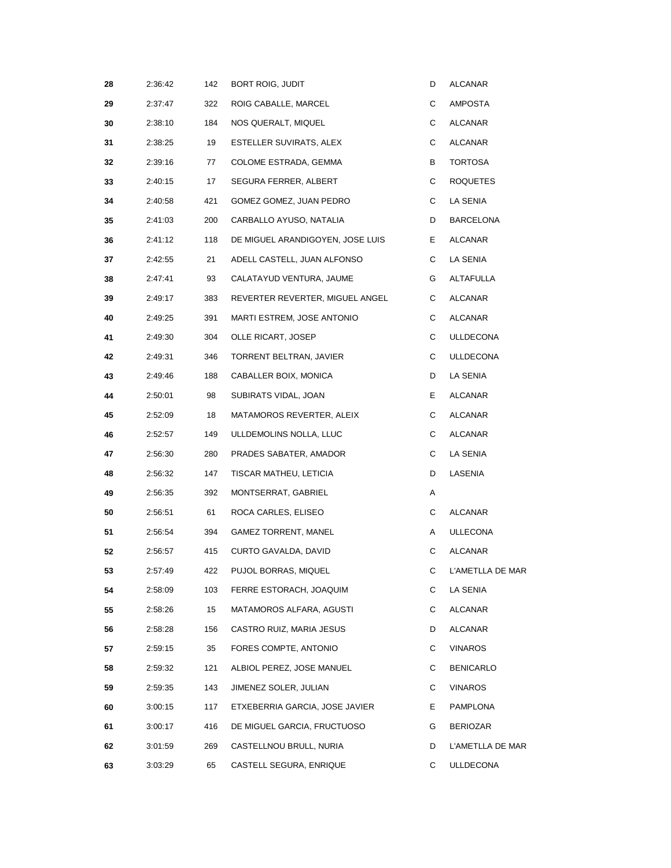| 28 | 2:36:42 | 142 | BORT ROIG, JUDIT                 | D  | ALCANAR          |
|----|---------|-----|----------------------------------|----|------------------|
| 29 | 2:37:47 | 322 | ROIG CABALLE, MARCEL             | С  | AMPOSTA          |
| 30 | 2:38:10 | 184 | NOS QUERALT, MIQUEL              | С  | ALCANAR          |
| 31 | 2:38:25 | 19  | ESTELLER SUVIRATS, ALEX          | С  | ALCANAR          |
| 32 | 2:39:16 | 77  | COLOME ESTRADA, GEMMA            | В  | TORTOSA          |
| 33 | 2:40:15 | 17  | SEGURA FERRER, ALBERT            | С  | <b>ROQUETES</b>  |
| 34 | 2:40:58 | 421 | GOMEZ GOMEZ, JUAN PEDRO          | С  | LA SENIA         |
| 35 | 2:41:03 | 200 | CARBALLO AYUSO, NATALIA          | D  | BARCELONA        |
| 36 | 2:41:12 | 118 | DE MIGUEL ARANDIGOYEN, JOSE LUIS | Е. | ALCANAR          |
| 37 | 2:42:55 | 21  | ADELL CASTELL, JUAN ALFONSO      | С  | LA SENIA         |
| 38 | 2:47:41 | 93  | CALATAYUD VENTURA, JAUME         | G  | ALTAFULLA        |
| 39 | 2:49:17 | 383 | REVERTER REVERTER, MIGUEL ANGEL  | С  | ALCANAR          |
| 40 | 2:49:25 | 391 | MARTI ESTREM, JOSE ANTONIO       | С  | ALCANAR          |
| 41 | 2:49:30 | 304 | OLLE RICART, JOSEP               | С  | <b>ULLDECONA</b> |
| 42 | 2:49:31 | 346 | TORRENT BELTRAN, JAVIER          | С  | <b>ULLDECONA</b> |
| 43 | 2:49:46 | 188 | CABALLER BOIX, MONICA            | D  | LA SENIA         |
| 44 | 2:50:01 | 98  | SUBIRATS VIDAL, JOAN             | E  | ALCANAR          |
| 45 | 2:52:09 | 18  | MATAMOROS REVERTER, ALEIX        | С  | ALCANAR          |
| 46 | 2:52:57 | 149 | ULLDEMOLINS NOLLA, LLUC          | С  | ALCANAR          |
| 47 | 2:56:30 | 280 | PRADES SABATER, AMADOR           | С  | LA SENIA         |
| 48 | 2:56:32 | 147 | TISCAR MATHEU, LETICIA           | D  | LASENIA          |
| 49 | 2:56:35 | 392 | MONTSERRAT, GABRIEL              | Α  |                  |
| 50 | 2:56:51 | 61  | ROCA CARLES, ELISEO              | С  | ALCANAR          |
| 51 | 2:56:54 | 394 | <b>GAMEZ TORRENT, MANEL</b>      | A  | <b>ULLECONA</b>  |
| 52 | 2:56:57 | 415 | CURTO GAVALDA, DAVID             | С  | ALCANAR          |
| 53 | 2:57:49 | 422 | PUJOL BORRAS, MIQUEL             | С  | L'AMETLLA DE MAR |
| 54 | 2:58:09 | 103 | FERRE ESTORACH, JOAQUIM          | С  | LA SENIA         |
| 55 | 2:58:26 | 15  | MATAMOROS ALFARA, AGUSTI         | С  | ALCANAR          |
| 56 | 2:58:28 | 156 | CASTRO RUIZ, MARIA JESUS         | D  | ALCANAR          |
| 57 | 2:59:15 | 35  | FORES COMPTE, ANTONIO            | С  | <b>VINAROS</b>   |
| 58 | 2:59:32 | 121 | ALBIOL PEREZ, JOSE MANUEL        | С  | <b>BENICARLO</b> |
| 59 | 2:59:35 | 143 | JIMENEZ SOLER, JULIAN            | С  | <b>VINAROS</b>   |
| 60 | 3:00:15 | 117 | ETXEBERRIA GARCIA, JOSE JAVIER   | Е  | PAMPLONA         |
| 61 | 3:00:17 | 416 | DE MIGUEL GARCIA, FRUCTUOSO      | G  | <b>BERIOZAR</b>  |
| 62 | 3:01:59 | 269 | CASTELLNOU BRULL, NURIA          | D  | L'AMETLLA DE MAR |
| 63 | 3:03:29 | 65  | CASTELL SEGURA, ENRIQUE          | C  | <b>ULLDECONA</b> |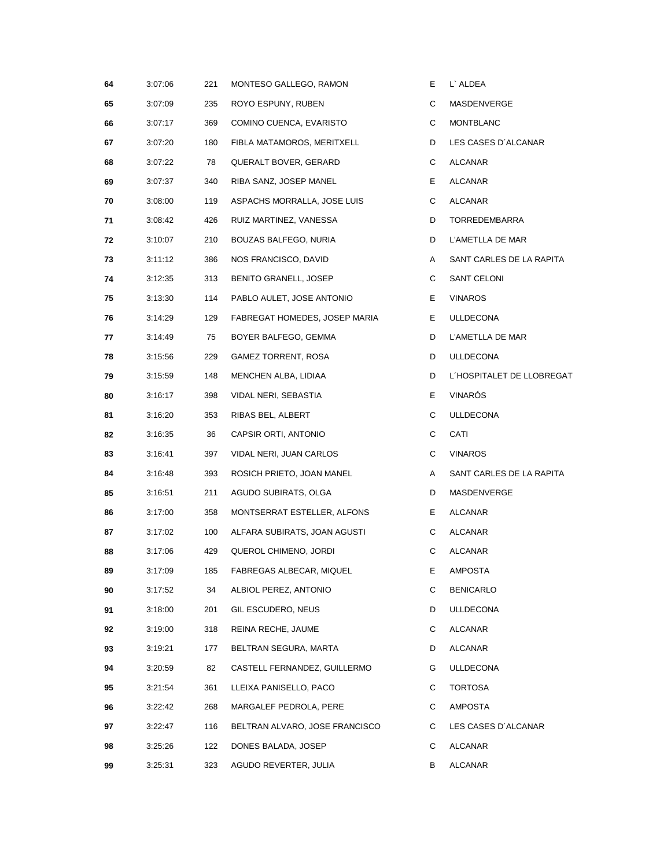| 64 | 3:07:06 | 221 | MONTESO GALLEGO, RAMON         | Е  | L` ALDEA                  |
|----|---------|-----|--------------------------------|----|---------------------------|
| 65 | 3:07:09 | 235 | ROYO ESPUNY, RUBEN             | С  | MASDENVERGE               |
| 66 | 3:07:17 | 369 | COMINO CUENCA, EVARISTO        | C  | <b>MONTBLANC</b>          |
| 67 | 3:07:20 | 180 | FIBLA MATAMOROS, MERITXELL     | D  | LES CASES D'ALCANAR       |
| 68 | 3:07:22 | 78  | QUERALT BOVER, GERARD          | C  | ALCANAR                   |
| 69 | 3:07:37 | 340 | RIBA SANZ, JOSEP MANEL         | Е  | ALCANAR                   |
| 70 | 3:08:00 | 119 | ASPACHS MORRALLA, JOSE LUIS    | С  | ALCANAR                   |
| 71 | 3:08:42 | 426 | RUIZ MARTINEZ, VANESSA         | D  | TORREDEMBARRA             |
| 72 | 3:10:07 | 210 | BOUZAS BALFEGO, NURIA          | D  | L'AMETLLA DE MAR          |
| 73 | 3:11:12 | 386 | NOS FRANCISCO, DAVID           | A  | SANT CARLES DE LA RAPITA  |
| 74 | 3:12:35 | 313 | BENITO GRANELL, JOSEP          | C  | SANT CELONI               |
| 75 | 3:13:30 | 114 | PABLO AULET, JOSE ANTONIO      | Е  | <b>VINAROS</b>            |
| 76 | 3:14:29 | 129 | FABREGAT HOMEDES, JOSEP MARIA  | Е. | <b>ULLDECONA</b>          |
| 77 | 3:14:49 | 75  | BOYER BALFEGO, GEMMA           | D  | L'AMETLLA DE MAR          |
| 78 | 3:15:56 | 229 | <b>GAMEZ TORRENT, ROSA</b>     | D  | <b>ULLDECONA</b>          |
| 79 | 3:15:59 | 148 | MENCHEN ALBA, LIDIAA           | D  | L'HOSPITALET DE LLOBREGAT |
| 80 | 3:16:17 | 398 | VIDAL NERI, SEBASTIA           | Е. | <b>VINARÓS</b>            |
| 81 | 3:16:20 | 353 | RIBAS BEL, ALBERT              | C  | <b>ULLDECONA</b>          |
| 82 | 3:16:35 | 36  | CAPSIR ORTI, ANTONIO           | C  | CATI                      |
| 83 | 3:16:41 | 397 | VIDAL NERI, JUAN CARLOS        | C  | <b>VINAROS</b>            |
| 84 | 3:16:48 | 393 | ROSICH PRIETO, JOAN MANEL      | A  | SANT CARLES DE LA RAPITA  |
| 85 | 3:16:51 | 211 | AGUDO SUBIRATS, OLGA           | D  | MASDENVERGE               |
| 86 | 3:17:00 | 358 | MONTSERRAT ESTELLER, ALFONS    | Е. | ALCANAR                   |
| 87 | 3:17:02 | 100 | ALFARA SUBIRATS, JOAN AGUSTI   | C  | ALCANAR                   |
| 88 | 3:17:06 | 429 | QUEROL CHIMENO, JORDI          | С  | ALCANAR                   |
| 89 | 3:17:09 | 185 | FABREGAS ALBECAR, MIQUEL       | Е. | <b>AMPOSTA</b>            |
| 90 | 3:17:52 | 34  | ALBIOL PEREZ, ANTONIO          | С  | <b>BENICARLO</b>          |
| 91 | 3:18:00 | 201 | GIL ESCUDERO, NEUS             | D  | <b>ULLDECONA</b>          |
| 92 | 3:19:00 | 318 | REINA RECHE, JAUME             | C  | ALCANAR                   |
| 93 | 3:19:21 | 177 | BELTRAN SEGURA, MARTA          | D  | ALCANAR                   |
| 94 | 3:20:59 | 82  | CASTELL FERNANDEZ, GUILLERMO   | G  | <b>ULLDECONA</b>          |
| 95 | 3:21:54 | 361 | LLEIXA PANISELLO, PACO         | C  | <b>TORTOSA</b>            |
| 96 | 3:22:42 | 268 | MARGALEF PEDROLA, PERE         | C  | AMPOSTA                   |
| 97 | 3:22:47 | 116 | BELTRAN ALVARO, JOSE FRANCISCO | C  | LES CASES D'ALCANAR       |
| 98 | 3:25:26 | 122 | DONES BALADA, JOSEP            | C  | ALCANAR                   |
| 99 | 3:25:31 | 323 | AGUDO REVERTER, JULIA          | В  | ALCANAR                   |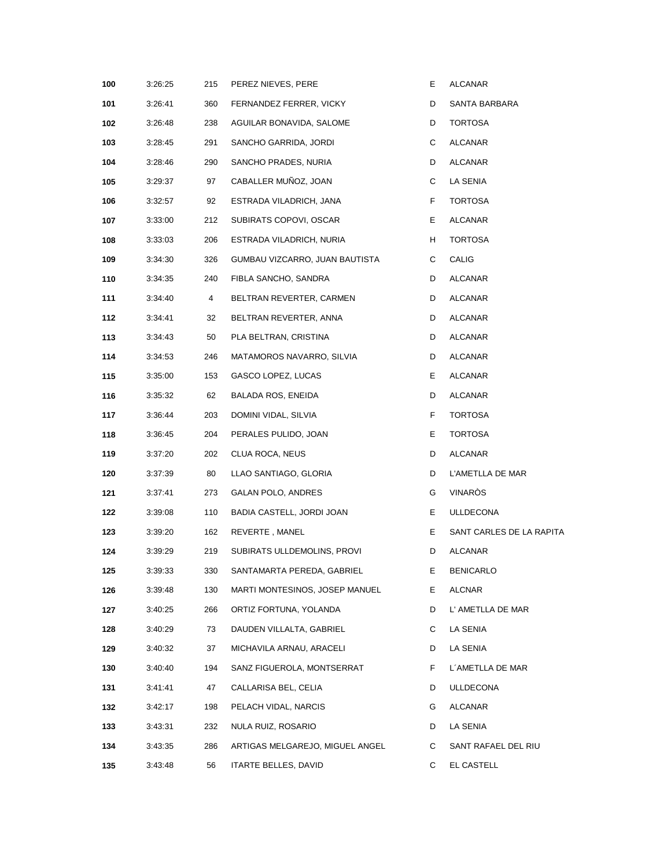| 100 | 3:26:25 | 215 | PEREZ NIEVES, PERE              | Е. | ALCANAR                  |
|-----|---------|-----|---------------------------------|----|--------------------------|
| 101 | 3:26:41 | 360 | FERNANDEZ FERRER, VICKY         | D  | SANTA BARBARA            |
| 102 | 3:26:48 | 238 | AGUILAR BONAVIDA, SALOME        | D  | <b>TORTOSA</b>           |
| 103 | 3:28:45 | 291 | SANCHO GARRIDA, JORDI           | C  | ALCANAR                  |
| 104 | 3:28:46 | 290 | SANCHO PRADES, NURIA            | D  | ALCANAR                  |
| 105 | 3:29:37 | 97  | CABALLER MUÑOZ, JOAN            | C  | LA SENIA                 |
| 106 | 3:32:57 | 92  | ESTRADA VILADRICH, JANA         | F. | <b>TORTOSA</b>           |
| 107 | 3:33:00 | 212 | SUBIRATS COPOVI, OSCAR          | Е. | ALCANAR                  |
| 108 | 3:33:03 | 206 | ESTRADA VILADRICH, NURIA        | H  | <b>TORTOSA</b>           |
| 109 | 3:34:30 | 326 | GUMBAU VIZCARRO, JUAN BAUTISTA  | C  | CALIG                    |
| 110 | 3:34:35 | 240 | FIBLA SANCHO, SANDRA            | D  | ALCANAR                  |
| 111 | 3:34:40 | 4   | BELTRAN REVERTER, CARMEN        | D  | ALCANAR                  |
| 112 | 3:34:41 | 32  | BELTRAN REVERTER, ANNA          | D  | ALCANAR                  |
| 113 | 3:34:43 | 50  | PLA BELTRAN, CRISTINA           | D  | ALCANAR                  |
| 114 | 3:34:53 | 246 | MATAMOROS NAVARRO, SILVIA       | D  | ALCANAR                  |
| 115 | 3:35:00 | 153 | GASCO LOPEZ, LUCAS              | Е. | ALCANAR                  |
| 116 | 3:35:32 | 62  | BALADA ROS, ENEIDA              | D  | ALCANAR                  |
| 117 | 3:36:44 | 203 | DOMINI VIDAL, SILVIA            | F. | <b>TORTOSA</b>           |
| 118 | 3:36:45 | 204 | PERALES PULIDO, JOAN            | Е  | TORTOSA                  |
| 119 | 3:37:20 | 202 | CLUA ROCA, NEUS                 | D  | ALCANAR                  |
| 120 | 3:37:39 | 80  | LLAO SANTIAGO, GLORIA           | D  | L'AMETLLA DE MAR         |
| 121 | 3:37:41 | 273 | GALAN POLO, ANDRES              | G  | VINARÒS                  |
| 122 | 3:39:08 | 110 | BADIA CASTELL, JORDI JOAN       | Е  | <b>ULLDECONA</b>         |
| 123 | 3:39:20 | 162 | REVERTE, MANEL                  | Е  | SANT CARLES DE LA RAPITA |
| 124 | 3:39:29 | 219 | SUBIRATS ULLDEMOLINS, PROVI     | D  | ALCANAR                  |
| 125 | 3:39:33 | 330 | SANTAMARTA PEREDA, GABRIEL      | Е  | <b>BENICARLO</b>         |
| 126 | 3:39:48 | 130 | MARTI MONTESINOS, JOSEP MANUEL  | Е. | ALCNAR                   |
| 127 | 3:40:25 | 266 | ORTIZ FORTUNA, YOLANDA          | D  | L' AMETLLA DE MAR        |
| 128 | 3:40:29 | 73  | DAUDEN VILLALTA, GABRIEL        | С  | LA SENIA                 |
| 129 | 3:40:32 | 37  | MICHAVILA ARNAU, ARACELI        | D  | LA SENIA                 |
| 130 | 3:40:40 | 194 | SANZ FIGUEROLA, MONTSERRAT      | F. | L'AMETLLA DE MAR         |
| 131 | 3:41:41 | 47  | CALLARISA BEL, CELIA            | D  | <b>ULLDECONA</b>         |
| 132 | 3:42:17 | 198 | PELACH VIDAL, NARCIS            | G  | ALCANAR                  |
| 133 | 3:43:31 | 232 | NULA RUIZ, ROSARIO              | D  | LA SENIA                 |
| 134 | 3:43:35 | 286 | ARTIGAS MELGAREJO, MIGUEL ANGEL | C  | SANT RAFAEL DEL RIU      |
| 135 | 3:43:48 | 56  | ITARTE BELLES, DAVID            | C  | EL CASTELL               |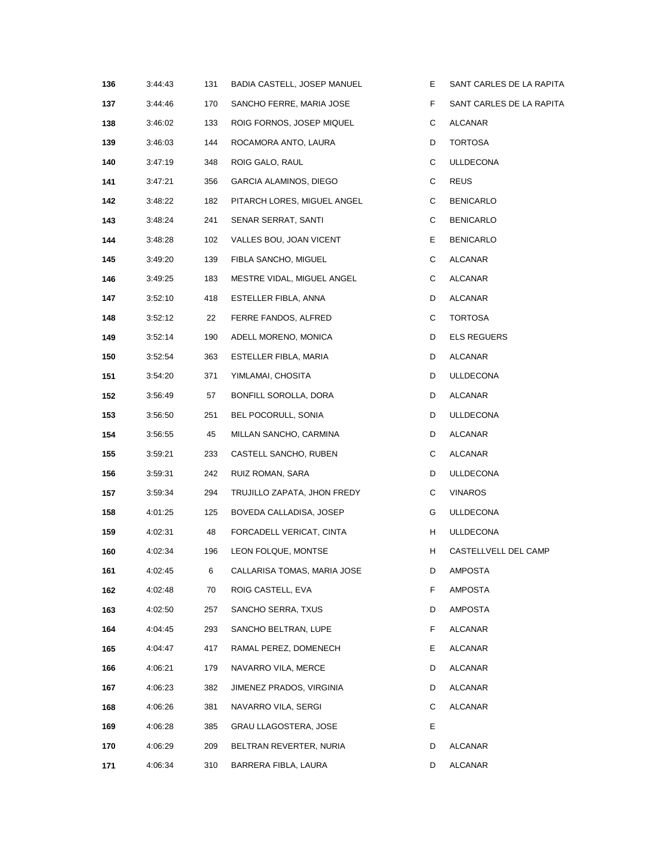| 136 | 3:44:43 | 131 | BADIA CASTELL, JOSEP MANUEL | Е. | SANT CARLES DE LA RAPITA |
|-----|---------|-----|-----------------------------|----|--------------------------|
| 137 | 3:44:46 | 170 | SANCHO FERRE, MARIA JOSE    | F  | SANT CARLES DE LA RAPITA |
| 138 | 3:46:02 | 133 | ROIG FORNOS, JOSEP MIQUEL   | C  | ALCANAR                  |
| 139 | 3:46:03 | 144 | ROCAMORA ANTO, LAURA        | D  | TORTOSA                  |
| 140 | 3:47:19 | 348 | ROIG GALO, RAUL             | С  | ULLDECONA                |
| 141 | 3:47:21 | 356 | GARCIA ALAMINOS, DIEGO      | C  | <b>REUS</b>              |
| 142 | 3:48:22 | 182 | PITARCH LORES, MIGUEL ANGEL | С  | <b>BENICARLO</b>         |
| 143 | 3:48:24 | 241 | SENAR SERRAT, SANTI         | С  | BENICARLO                |
| 144 | 3:48:28 | 102 | VALLES BOU, JOAN VICENT     | E  | <b>BENICARLO</b>         |
| 145 | 3:49:20 | 139 | FIBLA SANCHO, MIGUEL        | C  | ALCANAR                  |
| 146 | 3:49:25 | 183 | MESTRE VIDAL, MIGUEL ANGEL  | C  | ALCANAR                  |
| 147 | 3:52:10 | 418 | ESTELLER FIBLA, ANNA        | D  | ALCANAR                  |
| 148 | 3:52:12 | 22  | FERRE FANDOS, ALFRED        | С  | TORTOSA                  |
| 149 | 3:52:14 | 190 | ADELL MORENO, MONICA        | D  | ELS REGUERS              |
| 150 | 3:52:54 | 363 | ESTELLER FIBLA, MARIA       | D  | ALCANAR                  |
| 151 | 3:54:20 | 371 | YIMLAMAI, CHOSITA           | D  | ULLDECONA                |
| 152 | 3:56:49 | 57  | BONFILL SOROLLA, DORA       | D  | ALCANAR                  |
| 153 | 3:56:50 | 251 | BEL POCORULL, SONIA         | D  | ULLDECONA                |
| 154 | 3:56:55 | 45  | MILLAN SANCHO, CARMINA      | D  | ALCANAR                  |
| 155 | 3:59:21 | 233 | CASTELL SANCHO, RUBEN       | С  | ALCANAR                  |
| 156 | 3:59:31 | 242 | RUIZ ROMAN, SARA            | D  | <b>ULLDECONA</b>         |
| 157 | 3:59:34 | 294 | TRUJILLO ZAPATA, JHON FREDY | C  | <b>VINAROS</b>           |
| 158 | 4:01:25 | 125 | BOVEDA CALLADISA, JOSEP     | G  | ULLDECONA                |
| 159 | 4:02:31 | 48  | FORCADELL VERICAT, CINTA    | H  | ULLDECONA                |
| 160 | 4:02:34 | 196 | LEON FOLQUE, MONTSE         | H  | CASTELLVELL DEL CAMP     |
| 161 | 4:02:45 | 6   | CALLARISA TOMAS, MARIA JOSE | D  | AMPOSTA                  |
| 162 | 4:02:48 | 70  | ROIG CASTELL, EVA           | F  | AMPOSTA                  |
| 163 | 4:02:50 | 257 | SANCHO SERRA, TXUS          | D  | AMPOSTA                  |
| 164 | 4:04:45 | 293 | SANCHO BELTRAN, LUPE        | F  | ALCANAR                  |
| 165 | 4:04:47 | 417 | RAMAL PEREZ, DOMENECH       | E. | ALCANAR                  |
| 166 | 4:06:21 | 179 | NAVARRO VILA, MERCE         | D  | ALCANAR                  |
| 167 | 4:06:23 | 382 | JIMENEZ PRADOS, VIRGINIA    | D  | ALCANAR                  |
| 168 | 4:06:26 | 381 | NAVARRO VILA, SERGI         | С  | ALCANAR                  |
| 169 | 4:06:28 | 385 | GRAU LLAGOSTERA, JOSE       | Е  |                          |
| 170 | 4:06:29 | 209 | BELTRAN REVERTER, NURIA     | D  | ALCANAR                  |
| 171 | 4:06:34 | 310 | BARRERA FIBLA, LAURA        | D  | ALCANAR                  |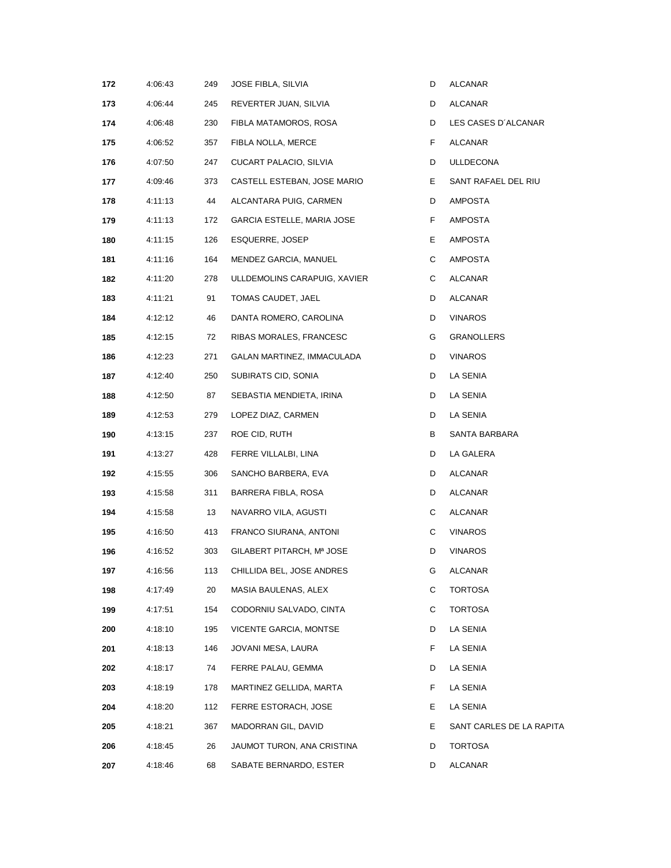| 172 | 4:06:43 | 249 | JOSE FIBLA, SILVIA           | D  | ALCANAR                  |
|-----|---------|-----|------------------------------|----|--------------------------|
| 173 | 4:06:44 | 245 | REVERTER JUAN, SILVIA        | D  | ALCANAR                  |
| 174 | 4:06:48 | 230 | FIBLA MATAMOROS, ROSA        | D  | LES CASES D'ALCANAR      |
| 175 | 4:06:52 | 357 | FIBLA NOLLA, MERCE           | F. | ALCANAR                  |
| 176 | 4:07:50 | 247 | CUCART PALACIO, SILVIA       | D  | ULLDECONA                |
| 177 | 4:09:46 | 373 | CASTELL ESTEBAN, JOSE MARIO  | E. | SANT RAFAEL DEL RIU      |
| 178 | 4:11:13 | 44  | ALCANTARA PUIG, CARMEN       | D  | AMPOSTA                  |
| 179 | 4:11:13 | 172 | GARCIA ESTELLE, MARIA JOSE   | F. | AMPOSTA                  |
| 180 | 4:11:15 | 126 | ESQUERRE, JOSEP              | Е. | AMPOSTA                  |
| 181 | 4:11:16 | 164 | MENDEZ GARCIA, MANUEL        | C  | AMPOSTA                  |
| 182 | 4:11:20 | 278 | ULLDEMOLINS CARAPUIG, XAVIER | C  | ALCANAR                  |
| 183 | 4:11:21 | 91  | TOMAS CAUDET, JAEL           | D  | ALCANAR                  |
| 184 | 4:12:12 | 46  | DANTA ROMERO, CAROLINA       | D  | VINAROS                  |
| 185 | 4:12:15 | 72  | RIBAS MORALES, FRANCESC      | G  | <b>GRANOLLERS</b>        |
| 186 | 4:12:23 | 271 | GALAN MARTINEZ, IMMACULADA   | D  | <b>VINAROS</b>           |
| 187 | 4:12:40 | 250 | SUBIRATS CID, SONIA          | D  | LA SENIA                 |
| 188 | 4:12:50 | 87  | SEBASTIA MENDIETA, IRINA     | D  | LA SENIA                 |
| 189 | 4:12:53 | 279 | LOPEZ DIAZ, CARMEN           | D  | LA SENIA                 |
| 190 | 4:13:15 | 237 | ROE CID, RUTH                | В  | SANTA BARBARA            |
| 191 | 4:13:27 | 428 | FERRE VILLALBI, LINA         | D  | LA GALERA                |
| 192 | 4:15:55 | 306 | SANCHO BARBERA, EVA          | D  | ALCANAR                  |
| 193 | 4:15:58 | 311 | BARRERA FIBLA, ROSA          | D  | ALCANAR                  |
| 194 | 4:15:58 | 13  | NAVARRO VILA, AGUSTI         | C  | ALCANAR                  |
| 195 | 4:16:50 | 413 | FRANCO SIURANA, ANTONI       | C  | <b>VINAROS</b>           |
| 196 | 4:16:52 | 303 | GILABERT PITARCH, Mª JOSE    | D  | <b>VINAROS</b>           |
| 197 | 4:16:56 | 113 | CHILLIDA BEL, JOSE ANDRES    | G  | <b>ALCANAR</b>           |
| 198 | 4:17:49 | 20  | MASIA BAULENAS, ALEX         | С  | TORTOSA                  |
| 199 | 4:17:51 | 154 | CODORNIU SALVADO, CINTA      | C  | <b>TORTOSA</b>           |
| 200 | 4:18:10 | 195 | VICENTE GARCIA, MONTSE       | D  | LA SENIA                 |
| 201 | 4:18:13 | 146 | JOVANI MESA, LAURA           | F. | LA SENIA                 |
| 202 | 4:18:17 | 74  | FERRE PALAU, GEMMA           | D  | LA SENIA                 |
| 203 | 4:18:19 | 178 | MARTINEZ GELLIDA, MARTA      | F. | LA SENIA                 |
| 204 | 4:18:20 | 112 | FERRE ESTORACH, JOSE         | E. | LA SENIA                 |
| 205 | 4:18:21 | 367 | MADORRAN GIL, DAVID          | E. | SANT CARLES DE LA RAPITA |
| 206 | 4:18:45 | 26  | JAUMOT TURON, ANA CRISTINA   | D  | TORTOSA                  |
| 207 | 4:18:46 | 68  | SABATE BERNARDO, ESTER       | D  | ALCANAR                  |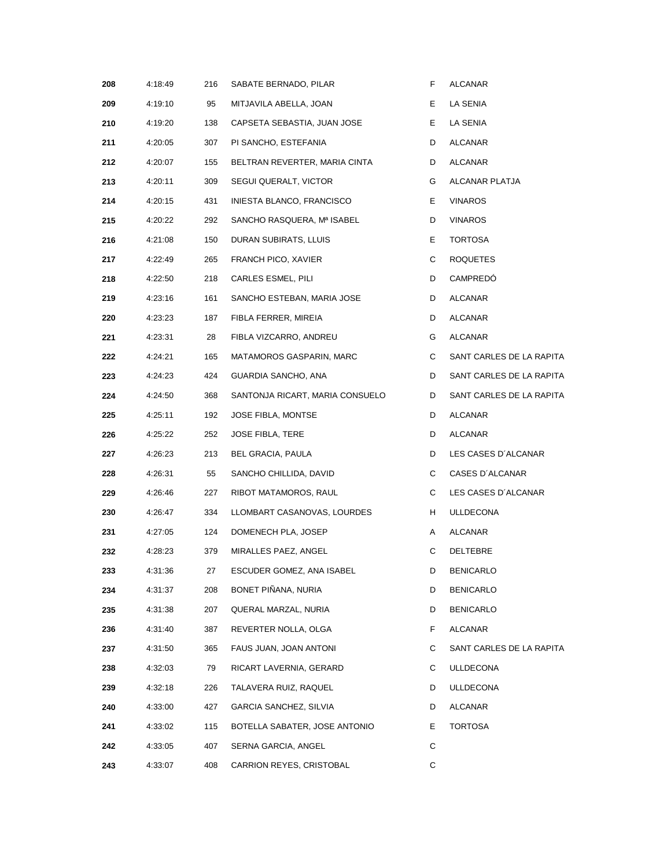| 208 | 4:18:49 | 216 | SABATE BERNADO, PILAR           | F  | ALCANAR                  |
|-----|---------|-----|---------------------------------|----|--------------------------|
| 209 | 4:19:10 | 95  | MITJAVILA ABELLA, JOAN          | Е  | LA SENIA                 |
| 210 | 4:19:20 | 138 | CAPSETA SEBASTIA, JUAN JOSE     | Е. | LA SENIA                 |
| 211 | 4:20:05 | 307 | PI SANCHO, ESTEFANIA            | D  | ALCANAR                  |
| 212 | 4:20:07 | 155 | BELTRAN REVERTER, MARIA CINTA   | D  | ALCANAR                  |
| 213 | 4:20:11 | 309 | SEGUI QUERALT, VICTOR           | G  | ALCANAR PLATJA           |
| 214 | 4:20:15 | 431 | INIESTA BLANCO, FRANCISCO       | E. | <b>VINAROS</b>           |
| 215 | 4:20:22 | 292 | SANCHO RASQUERA, Mª ISABEL      | D  | VINAROS                  |
| 216 | 4:21:08 | 150 | DURAN SUBIRATS, LLUIS           | Е. | <b>TORTOSA</b>           |
| 217 | 4:22:49 | 265 | FRANCH PICO, XAVIER             | С  | ROQUETES                 |
| 218 | 4:22:50 | 218 | CARLES ESMEL, PILI              | D  | CAMPREDO                 |
| 219 | 4:23:16 | 161 | SANCHO ESTEBAN, MARIA JOSE      | D  | ALCANAR                  |
| 220 | 4:23:23 | 187 | FIBLA FERRER, MIREIA            | D  | ALCANAR                  |
| 221 | 4:23:31 | 28  | FIBLA VIZCARRO, ANDREU          | G  | <b>ALCANAR</b>           |
| 222 | 4:24:21 | 165 | MATAMOROS GASPARIN, MARC        | C  | SANT CARLES DE LA RAPITA |
| 223 | 4:24:23 | 424 | GUARDIA SANCHO, ANA             | D  | SANT CARLES DE LA RAPITA |
| 224 | 4:24:50 | 368 | SANTONJA RICART, MARIA CONSUELO | D  | SANT CARLES DE LA RAPITA |
| 225 | 4:25:11 | 192 | JOSE FIBLA, MONTSE              | D  | ALCANAR                  |
| 226 | 4:25:22 | 252 | JOSE FIBLA, TERE                | D  | ALCANAR                  |
| 227 | 4:26:23 | 213 | BEL GRACIA, PAULA               | D  | LES CASES D'ALCANAR      |
| 228 | 4:26:31 | 55  | SANCHO CHILLIDA, DAVID          | С  | CASES D'ALCANAR          |
| 229 | 4:26:46 | 227 | RIBOT MATAMOROS, RAUL           | C  | LES CASES D'ALCANAR      |
| 230 | 4:26:47 | 334 | LLOMBART CASANOVAS, LOURDES     | H  | ULLDECONA                |
| 231 | 4:27:05 | 124 | DOMENECH PLA, JOSEP             | A  | ALCANAR                  |
| 232 | 4:28:23 | 379 | MIRALLES PAEZ, ANGEL            | С  | DELTEBRE                 |
| 233 | 4:31:36 | 27  | ESCUDER GOMEZ, ANA ISABEL       | D  | <b>BENICARLO</b>         |
| 234 | 4:31:37 | 208 | BONET PIÑANA, NURIA             | D  | <b>BENICARLO</b>         |
| 235 | 4:31:38 | 207 | QUERAL MARZAL, NURIA            | D  | <b>BENICARLO</b>         |
| 236 | 4:31:40 | 387 | REVERTER NOLLA, OLGA            | F. | ALCANAR                  |
| 237 | 4:31:50 | 365 | FAUS JUAN, JOAN ANTONI          | С  | SANT CARLES DE LA RAPITA |
| 238 | 4:32:03 | 79  | RICART LAVERNIA, GERARD         | С  | <b>ULLDECONA</b>         |
| 239 | 4:32:18 | 226 | TALAVERA RUIZ, RAQUEL           | D  | <b>ULLDECONA</b>         |
| 240 | 4:33:00 | 427 | GARCIA SANCHEZ, SILVIA          | D  | <b>ALCANAR</b>           |
| 241 | 4:33:02 | 115 | BOTELLA SABATER, JOSE ANTONIO   | Е  | <b>TORTOSA</b>           |
| 242 | 4:33:05 | 407 | SERNA GARCIA, ANGEL             | С  |                          |
| 243 | 4:33:07 | 408 | CARRION REYES, CRISTOBAL        | С  |                          |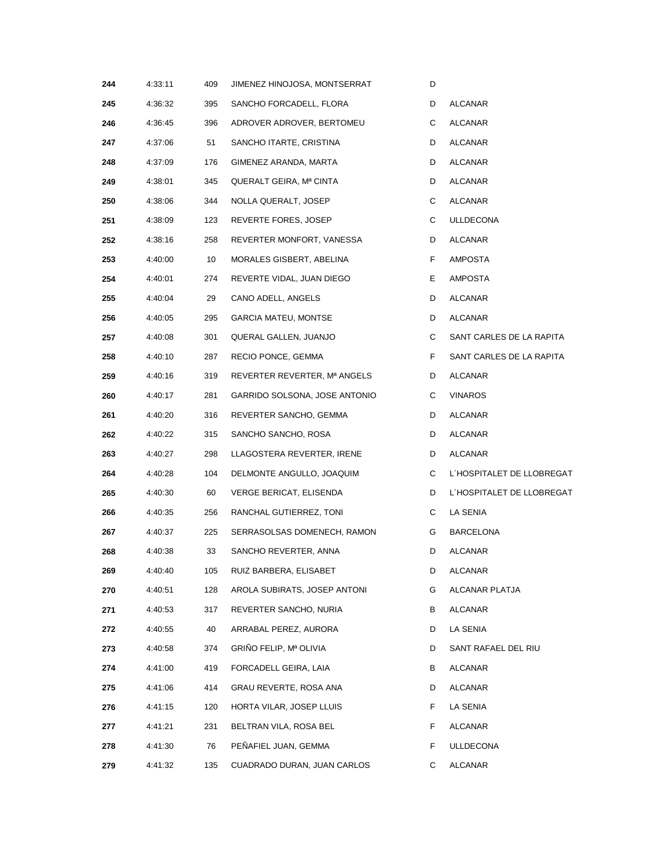| 244 | 4:33:11 | 409              | JIMENEZ HINOJOSA, MONTSERRAT  | D  |                           |
|-----|---------|------------------|-------------------------------|----|---------------------------|
| 245 | 4:36:32 | 395              | SANCHO FORCADELL, FLORA       | D  | ALCANAR                   |
| 246 | 4:36:45 | 396              | ADROVER ADROVER, BERTOMEU     | C  | ALCANAR                   |
| 247 | 4:37:06 | 51               | SANCHO ITARTE, CRISTINA       | D  | ALCANAR                   |
| 248 | 4:37:09 | 176              | GIMENEZ ARANDA, MARTA         | D  | ALCANAR                   |
| 249 | 4:38:01 | 345              | QUERALT GEIRA, Mª CINTA       | D  | ALCANAR                   |
| 250 | 4:38:06 | 344              | NOLLA QUERALT, JOSEP          | C  | ALCANAR                   |
| 251 | 4:38:09 | 123              | REVERTE FORES, JOSEP          | C  | <b>ULLDECONA</b>          |
| 252 | 4:38:16 | 258              | REVERTER MONFORT, VANESSA     | D  | ALCANAR                   |
| 253 | 4:40:00 | 10 <sup>10</sup> | MORALES GISBERT, ABELINA      | F  | AMPOSTA                   |
| 254 | 4:40:01 | 274              | REVERTE VIDAL, JUAN DIEGO     | Е. | AMPOSTA                   |
| 255 | 4:40:04 | 29               | CANO ADELL, ANGELS            | D  | ALCANAR                   |
| 256 | 4:40:05 | 295              | <b>GARCIA MATEU, MONTSE</b>   | D  | ALCANAR                   |
| 257 | 4:40:08 | 301              | QUERAL GALLEN, JUANJO         | C  | SANT CARLES DE LA RAPITA  |
| 258 | 4:40:10 | 287              | RECIO PONCE, GEMMA            | F  | SANT CARLES DE LA RAPITA  |
| 259 | 4:40:16 | 319              | REVERTER REVERTER, Mª ANGELS  | D  | ALCANAR                   |
| 260 | 4:40:17 | 281              | GARRIDO SOLSONA, JOSE ANTONIO | C  | <b>VINAROS</b>            |
| 261 | 4:40:20 | 316              | REVERTER SANCHO, GEMMA        | D  | ALCANAR                   |
| 262 | 4:40:22 | 315              | SANCHO SANCHO, ROSA           | D  | ALCANAR                   |
| 263 | 4:40:27 | 298              | LLAGOSTERA REVERTER, IRENE    | D  | ALCANAR                   |
| 264 | 4:40:28 | 104              | DELMONTE ANGULLO, JOAQUIM     | C  | L'HOSPITALET DE LLOBREGAT |
| 265 | 4:40:30 | 60               | VERGE BERICAT, ELISENDA       | D  | L'HOSPITALET DE LLOBREGAT |
| 266 | 4:40:35 | 256              | RANCHAL GUTIERREZ, TONI       | C  | LA SENIA                  |
| 267 | 4:40:37 | 225              | SERRASOLSAS DOMENECH, RAMON   | G  | <b>BARCELONA</b>          |
| 268 | 4:40:38 | 33               | SANCHO REVERTER, ANNA         | D  | ALCANAR                   |
| 269 | 4:40:40 | 105              | RUIZ BARBERA, ELISABET        | D  | <b>ALCANAR</b>            |
| 270 | 4:40:51 | 128              | AROLA SUBIRATS, JOSEP ANTONI  | G  | ALCANAR PLATJA            |
| 271 | 4:40:53 | 317              | REVERTER SANCHO, NURIA        | В  | ALCANAR                   |
| 272 | 4:40:55 | 40               | ARRABAL PEREZ, AURORA         | D  | LA SENIA                  |
| 273 | 4:40:58 | 374              | GRIÑO FELIP, Mª OLIVIA        | D  | SANT RAFAEL DEL RIU       |
| 274 | 4:41:00 | 419              | FORCADELL GEIRA, LAIA         | В  | ALCANAR                   |
| 275 | 4:41:06 | 414              | GRAU REVERTE, ROSA ANA        | D  | ALCANAR                   |
| 276 | 4:41:15 | 120              | HORTA VILAR, JOSEP LLUIS      | F  | LA SENIA                  |
| 277 | 4:41:21 | 231              | BELTRAN VILA, ROSA BEL        | F. | ALCANAR                   |
| 278 | 4:41:30 | 76               | PENAFIEL JUAN, GEMMA          | F. | <b>ULLDECONA</b>          |
| 279 | 4:41:32 | 135              | CUADRADO DURAN, JUAN CARLOS   | C  | ALCANAR                   |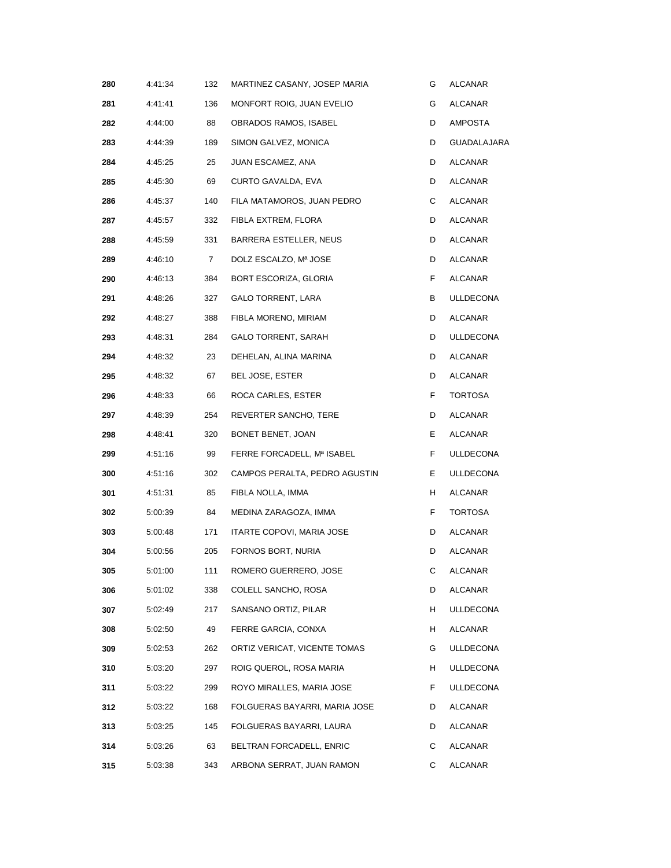| 280 | 4:41:34 | 132         | MARTINEZ CASANY, JOSEP MARIA  | G  | ALCANAR          |
|-----|---------|-------------|-------------------------------|----|------------------|
| 281 | 4:41:41 | 136         | MONFORT ROIG, JUAN EVELIO     | G  | ALCANAR          |
| 282 | 4:44:00 | 88          | OBRADOS RAMOS, ISABEL         | D  | AMPOSTA          |
| 283 | 4:44:39 | 189         | SIMON GALVEZ, MONICA          | D  | GUADALAJARA      |
| 284 | 4:45:25 | 25          | JUAN ESCAMEZ, ANA             | D  | ALCANAR          |
| 285 | 4:45:30 | 69          | CURTO GAVALDA, EVA            | D  | ALCANAR          |
| 286 | 4:45:37 | 140         | FILA MATAMOROS, JUAN PEDRO    | С  | ALCANAR          |
| 287 | 4:45:57 | 332         | FIBLA EXTREM, FLORA           | D  | ALCANAR          |
| 288 | 4:45:59 | 331         | BARRERA ESTELLER, NEUS        | D  | ALCANAR          |
| 289 | 4:46:10 | $7^{\circ}$ | DOLZ ESCALZO, Mª JOSE         | D  | ALCANAR          |
| 290 | 4:46:13 | 384         | BORT ESCORIZA, GLORIA         | F. | ALCANAR          |
| 291 | 4:48:26 | 327         | GALO TORRENT, LARA            | В  | ULLDECONA        |
| 292 | 4:48:27 | 388         | FIBLA MORENO, MIRIAM          | D  | ALCANAR          |
| 293 | 4:48:31 | 284         | <b>GALO TORRENT, SARAH</b>    | D  | ULLDECONA        |
| 294 | 4:48:32 | 23          | DEHELAN, ALINA MARINA         | D  | ALCANAR          |
| 295 | 4:48:32 | 67          | BEL JOSE, ESTER               | D  | ALCANAR          |
| 296 | 4:48:33 | 66          | ROCA CARLES, ESTER            | F  | TORTOSA          |
| 297 | 4:48:39 | 254         | REVERTER SANCHO, TERE         | D  | ALCANAR          |
| 298 | 4:48:41 | 320         | BONET BENET, JOAN             | Е  | ALCANAR          |
| 299 | 4:51:16 | 99          | FERRE FORCADELL, Mª ISABEL    | F. | <b>ULLDECONA</b> |
| 300 | 4:51:16 | 302         | CAMPOS PERALTA, PEDRO AGUSTIN | Е. | <b>ULLDECONA</b> |
| 301 | 4:51:31 | 85          | FIBLA NOLLA, IMMA             | H  | ALCANAR          |
| 302 | 5:00:39 | 84          | MEDINA ZARAGOZA, IMMA         | F  | <b>TORTOSA</b>   |
| 303 | 5:00:48 | 171         | ITARTE COPOVI, MARIA JOSE     | D  | ALCANAR          |
| 304 | 5:00:56 | 205         | FORNOS BORT, NURIA            | D  | <b>ALCANAR</b>   |
| 305 | 5:01:00 | 111         | ROMERO GUERRERO, JOSE         | С  | <b>ALCANAR</b>   |
| 306 | 5:01:02 | 338         | COLELL SANCHO, ROSA           | D  | ALCANAR          |
| 307 | 5:02:49 | 217         | SANSANO ORTIZ, PILAR          | H  | <b>ULLDECONA</b> |
| 308 | 5:02:50 | 49          | FERRE GARCIA, CONXA           | H. | ALCANAR          |
| 309 | 5:02:53 | 262         | ORTIZ VERICAT, VICENTE TOMAS  | G  | ULLDECONA        |
| 310 | 5:03:20 | 297         | ROIG QUEROL, ROSA MARIA       | H  | <b>ULLDECONA</b> |
| 311 | 5:03:22 | 299         | ROYO MIRALLES, MARIA JOSE     | F. | <b>ULLDECONA</b> |
| 312 | 5:03:22 | 168         | FOLGUERAS BAYARRI, MARIA JOSE | D  | ALCANAR          |
| 313 | 5:03:25 | 145         | FOLGUERAS BAYARRI, LAURA      | D  | ALCANAR          |
| 314 | 5:03:26 | 63          | BELTRAN FORCADELL, ENRIC      | С  | <b>ALCANAR</b>   |
| 315 | 5:03:38 | 343         | ARBONA SERRAT, JUAN RAMON     | C  | ALCANAR          |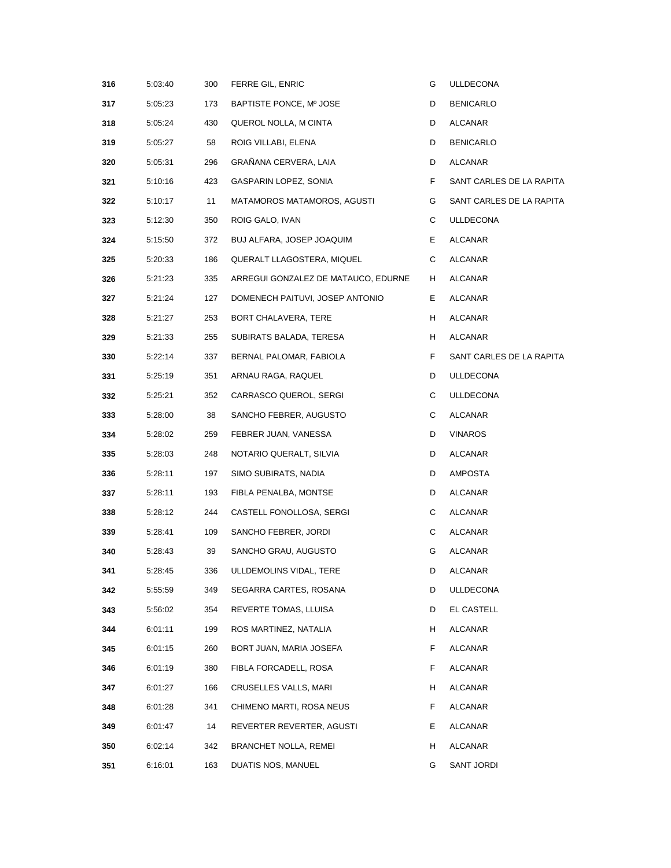| 316 | 5:03:40 | 300 | FERRE GIL, ENRIC                    | G  | ULLDECONA                |
|-----|---------|-----|-------------------------------------|----|--------------------------|
| 317 | 5:05:23 | 173 | BAPTISTE PONCE, Mº JOSE             | D  | <b>BENICARLO</b>         |
| 318 | 5:05:24 | 430 | QUEROL NOLLA, M CINTA               | D  | ALCANAR                  |
| 319 | 5:05:27 | 58  | ROIG VILLABI, ELENA                 | D  | <b>BENICARLO</b>         |
| 320 | 5:05:31 | 296 | GRAÑANA CERVERA, LAIA               | D  | ALCANAR                  |
| 321 | 5:10:16 | 423 | GASPARIN LOPEZ, SONIA               | F  | SANT CARLES DE LA RAPITA |
| 322 | 5:10:17 | 11  | MATAMOROS MATAMOROS, AGUSTI         | G  | SANT CARLES DE LA RAPITA |
| 323 | 5:12:30 | 350 | ROIG GALO, IVAN                     | С  | <b>ULLDECONA</b>         |
| 324 | 5:15:50 | 372 | BUJ ALFARA, JOSEP JOAQUIM           | E. | ALCANAR                  |
| 325 | 5:20:33 | 186 | QUERALT LLAGOSTERA, MIQUEL          | C  | ALCANAR                  |
| 326 | 5:21:23 | 335 | ARREGUI GONZALEZ DE MATAUCO, EDURNE | H  | ALCANAR                  |
| 327 | 5:21:24 | 127 | DOMENECH PAITUVI, JOSEP ANTONIO     | Е. | ALCANAR                  |
| 328 | 5:21:27 | 253 | BORT CHALAVERA, TERE                | H  | ALCANAR                  |
| 329 | 5:21:33 | 255 | SUBIRATS BALADA, TERESA             | H  | ALCANAR                  |
| 330 | 5:22:14 | 337 | BERNAL PALOMAR, FABIOLA             | F  | SANT CARLES DE LA RAPITA |
| 331 | 5:25:19 | 351 | ARNAU RAGA, RAQUEL                  | D  | ULLDECONA                |
| 332 | 5:25:21 | 352 | CARRASCO QUEROL, SERGI              | С  | <b>ULLDECONA</b>         |
| 333 | 5:28:00 | 38  | SANCHO FEBRER, AUGUSTO              | С  | ALCANAR                  |
| 334 | 5:28:02 | 259 | FEBRER JUAN, VANESSA                | D  | <b>VINAROS</b>           |
| 335 | 5:28:03 | 248 | NOTARIO QUERALT, SILVIA             | D  | ALCANAR                  |
| 336 | 5:28:11 | 197 | SIMO SUBIRATS, NADIA                | D  | AMPOSTA                  |
| 337 | 5:28:11 | 193 | FIBLA PENALBA, MONTSE               | D  | ALCANAR                  |
| 338 | 5:28:12 | 244 | CASTELL FONOLLOSA, SERGI            | С  | ALCANAR                  |
| 339 | 5:28:41 | 109 | SANCHO FEBRER, JORDI                | C  | ALCANAR                  |
| 340 | 5:28:43 | 39  | SANCHO GRAU, AUGUSTO                | G  | <b>ALCANAR</b>           |
| 341 | 5:28:45 |     | 336 ULLDEMOLINS VIDAL, TERE         | D  | <b>ALCANAR</b>           |
| 342 | 5:55:59 | 349 | SEGARRA CARTES, ROSANA              | D  | ULLDECONA                |
| 343 | 5:56:02 | 354 | REVERTE TOMAS, LLUISA               | D  | EL CASTELL               |
| 344 | 6:01:11 | 199 | ROS MARTINEZ, NATALIA               | H  | ALCANAR                  |
| 345 | 6:01:15 | 260 | BORT JUAN, MARIA JOSEFA             | F  | ALCANAR                  |
| 346 | 6:01:19 | 380 | FIBLA FORCADELL, ROSA               | F  | ALCANAR                  |
| 347 | 6:01:27 | 166 | CRUSELLES VALLS, MARI               | H  | ALCANAR                  |
| 348 | 6:01:28 | 341 | CHIMENO MARTI, ROSA NEUS            | F  | <b>ALCANAR</b>           |
| 349 | 6:01:47 | 14  | REVERTER REVERTER, AGUSTI           | Е  | ALCANAR                  |
| 350 | 6:02:14 | 342 | BRANCHET NOLLA, REMEI               | H  | ALCANAR                  |
| 351 | 6:16:01 | 163 | DUATIS NOS, MANUEL                  | G  | SANT JORDI               |